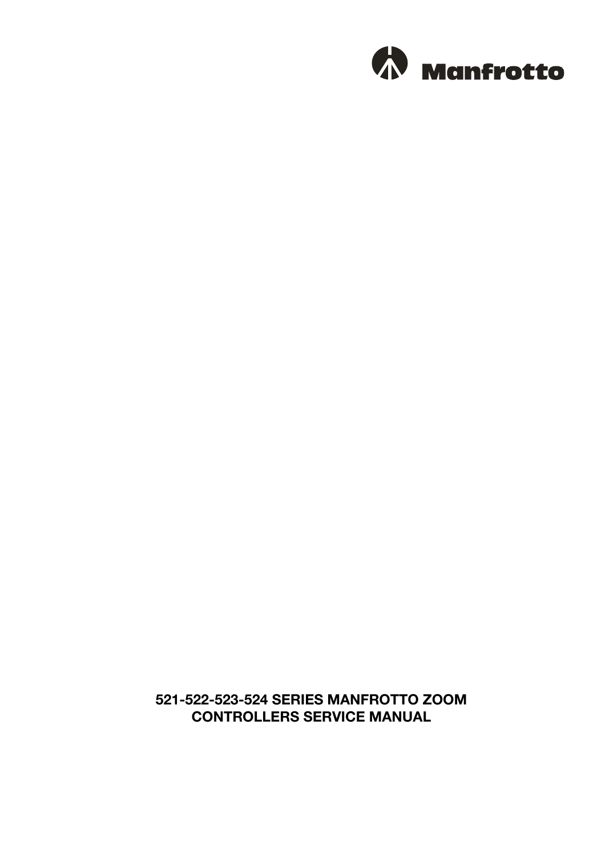

# **521-522-523-524 SERIES MANFROTTO ZOOM CONTROLLERS SERVICE MANUAL**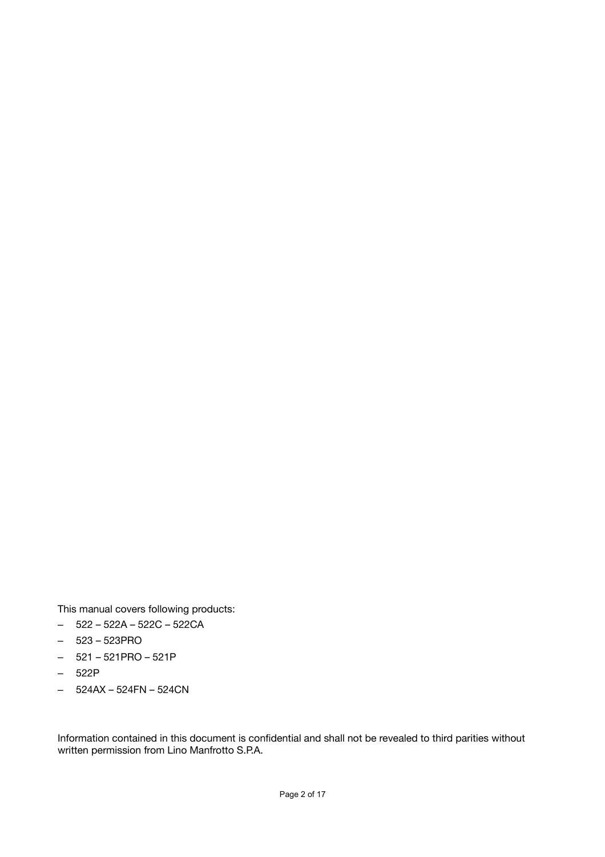This manual covers following products:

- 522 522A 522C 522CA
- 523 523PRO
- 521 521PRO 521P
- 522P
- 524AX 524FN 524CN

Information contained in this document is confidential and shall not be revealed to third parities without written permission from Lino Manfrotto S.P.A.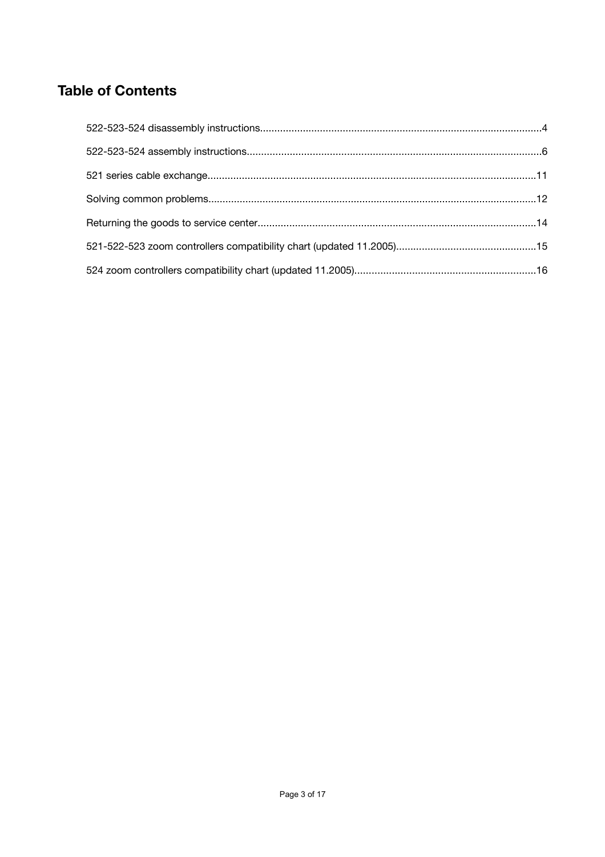# **Table of Contents**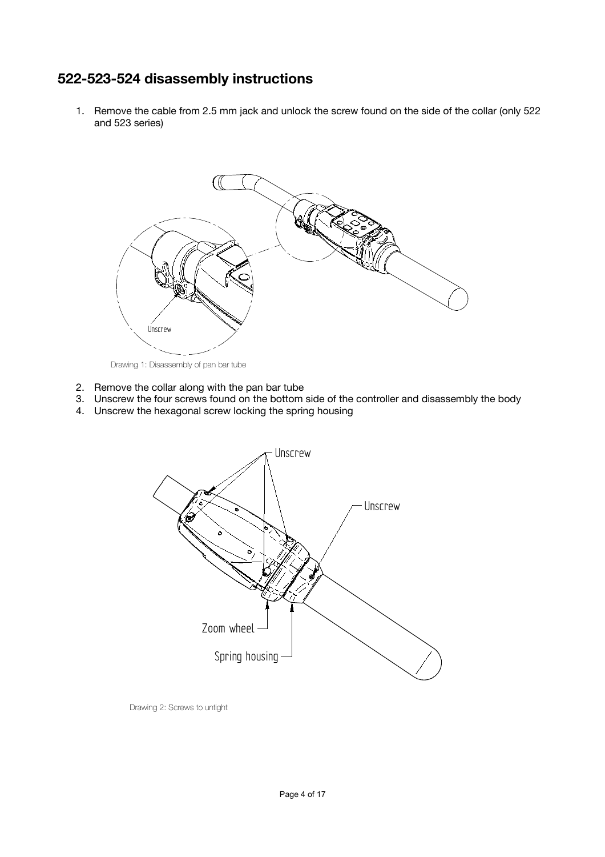# **522-523-524 disassembly instructions**

1. Remove the cable from 2.5 mm jack and unlock the screw found on the side of the collar (only 522 and 523 series)



Drawing 1: Disassembly of pan bar tube

- 2. Remove the collar along with the pan bar tube
- 3. Unscrew the four screws found on the bottom side of the controller and disassembly the body
- 4. Unscrew the hexagonal screw locking the spring housing



Drawing 2: Screws to untight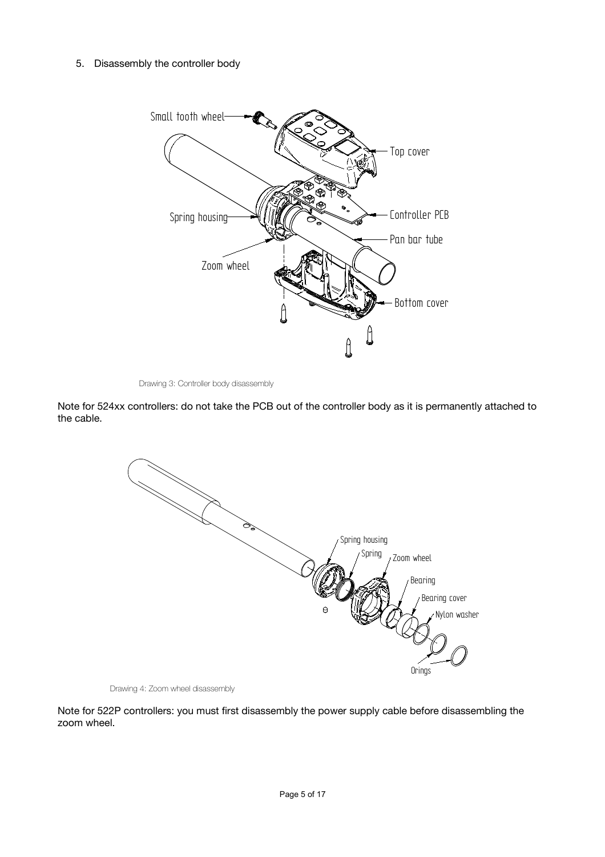## 5. Disassembly the controller body



<span id="page-4-0"></span>Drawing 3: Controller body disassembly

Note for 524xx controllers: do not take the PCB out of the controller body as it is permanently attached to the cable.



Drawing 4: Zoom wheel disassembly

Note for 522P controllers: you must first disassembly the power supply cable before disassembling the zoom wheel.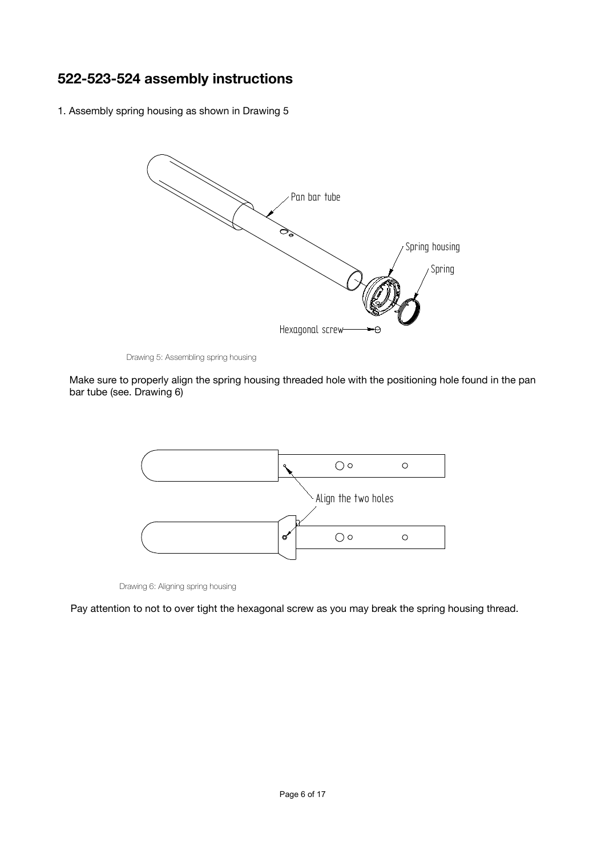# **522-523-524 assembly instructions**

1. Assembly spring housing as shown in [Drawing](#page-5-0) 5



<span id="page-5-0"></span>Drawing 5: Assembling spring housing

Make sure to properly align the spring housing threaded hole with the positioning hole found in the pan bar tube (see. [Drawing](#page-5-1) 6)



<span id="page-5-1"></span>Drawing 6: Aligning spring housing

Pay attention to not to over tight the hexagonal screw as you may break the spring housing thread.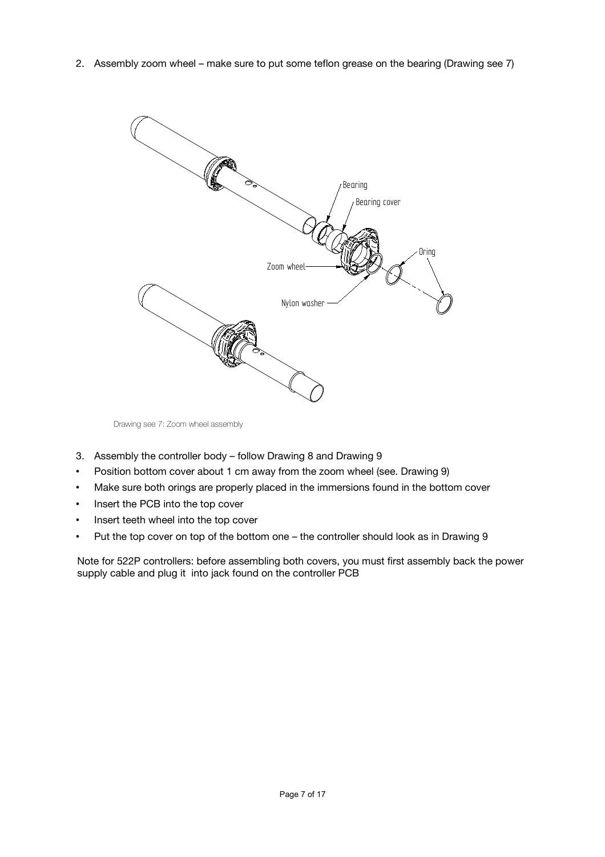2. Assembly zoom wheel – make sure to put some teflon grease on the bearing [\(Drawing](#page-6-0) see 7)



<span id="page-6-0"></span>Drawing see 7: Zoom wheel assembly

- 3. Assembly the controller body follow [Drawing](#page-7-1) 8 and [Drawing](#page-7-0) 9
- Position bottom cover about 1 cm away from the zoom wheel (see. [Drawing](#page-7-0) 9)
- Make sure both orings are properly placed in the immersions found in the bottom cover
- Insert the PCB into the top cover
- Insert teeth wheel into the top cover
- Put the top cover on top of the bottom one the controller should look as in [Drawing](#page-7-0) 9

Note for 522P controllers: before assembling both covers, you must first assembly back the power supply cable and plug it into jack found on the controller PCB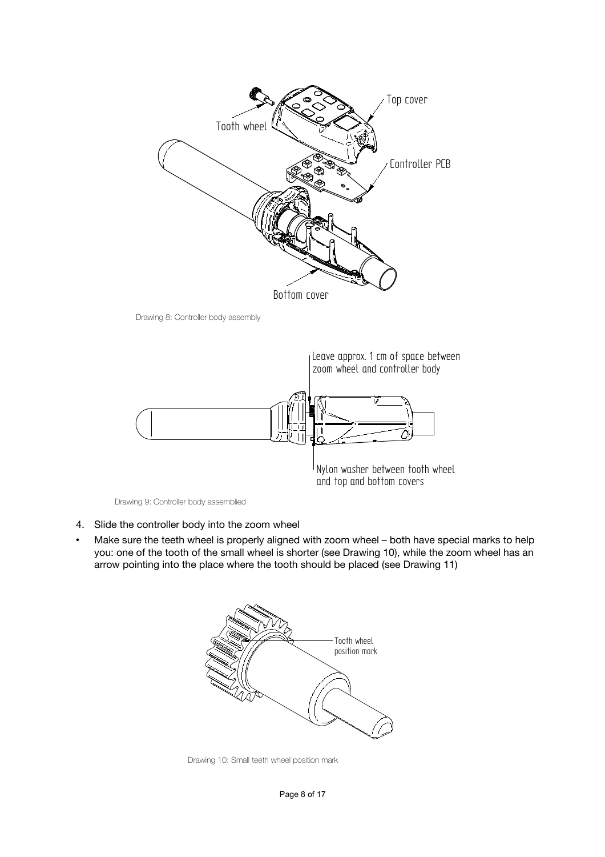

<span id="page-7-1"></span>Drawing 8: Controller body assembly



<span id="page-7-0"></span>Drawing 9: Controller body assemblied

- 4. Slide the controller body into the zoom wheel
- Make sure the teeth wheel is properly aligned with zoom wheel both have special marks to help you: one of the tooth of the small wheel is shorter (see [Drawing](#page-7-2) 10), while the zoom wheel has an arrow pointing into the place where the tooth should be placed (see [Drawing](#page-8-0) 11)



<span id="page-7-2"></span>Drawing 10: Small teeth wheel position mark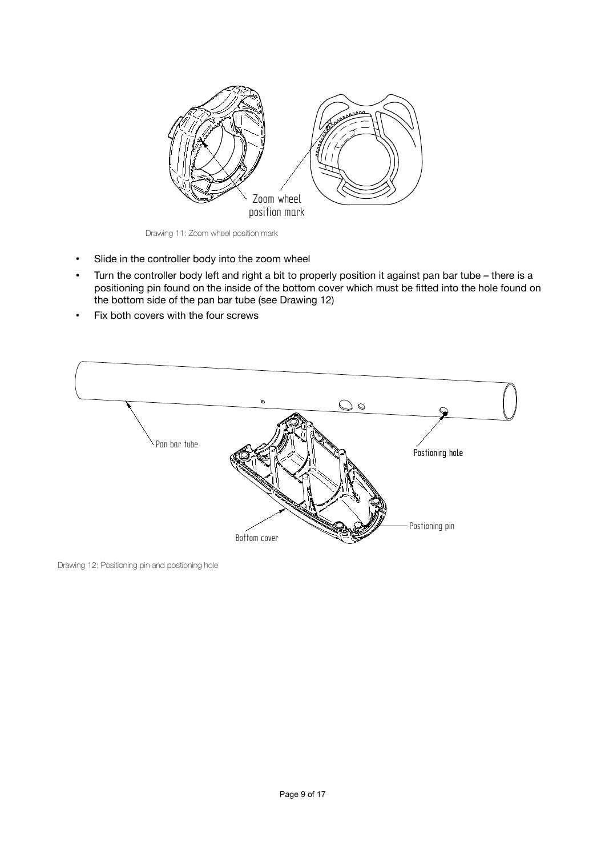

Drawing 11: Zoom wheel position mark

- <span id="page-8-0"></span>• Slide in the controller body into the zoom wheel
- Turn the controller body left and right a bit to properly position it against pan bar tube there is a positioning pin found on the inside of the bottom cover which must be fitted into the hole found on the bottom side of the pan bar tube (see [Drawing](#page-8-1) 12)
- Fix both covers with the four screws



<span id="page-8-1"></span>Drawing 12: Positioning pin and postioning hole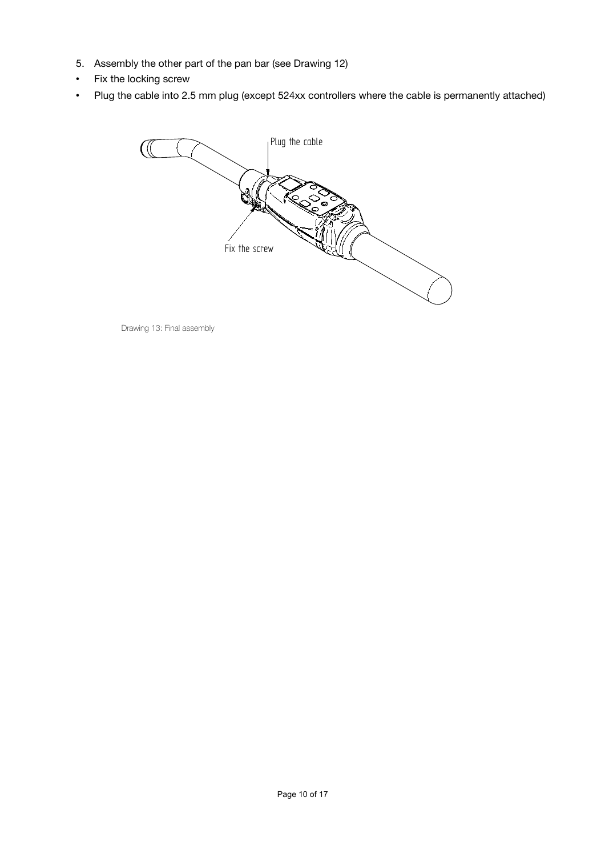- 5. Assembly the other part of the pan bar (see [Drawing](#page-8-1) 12)
- Fix the locking screw
- Plug the cable into 2.5 mm plug (except 524xx controllers where the cable is permanently attached)



Drawing 13: Final assembly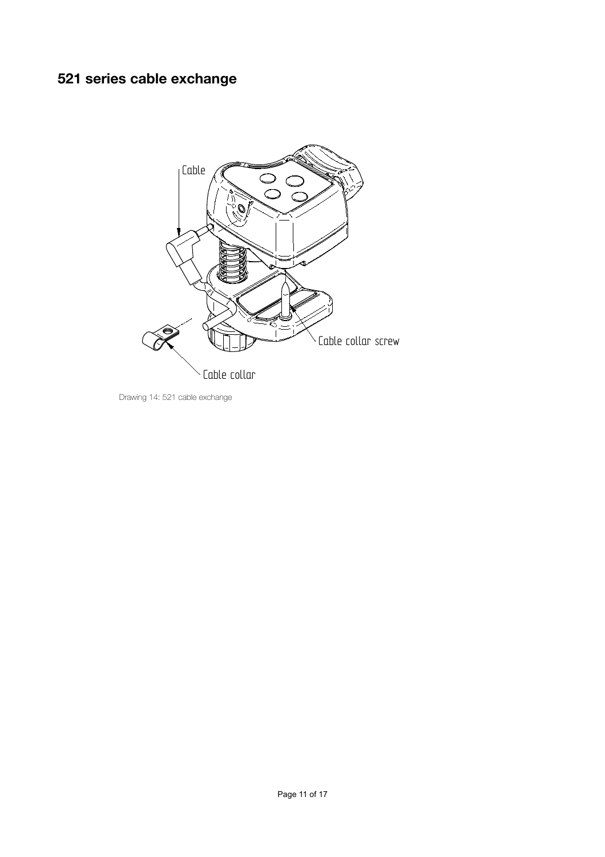# **521 series cable exchange**



Drawing 14: 521 cable exchange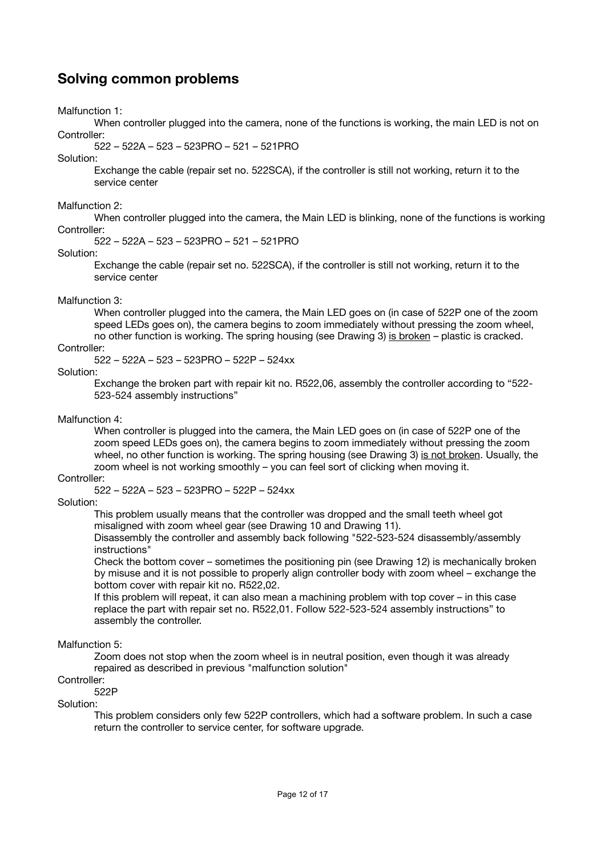# **Solving common problems**

Malfunction 1:

When controller plugged into the camera, none of the functions is working, the main LED is not on Controller:

522 – 522A – 523 – 523PRO – 521 – 521PRO

Solution:

Exchange the cable (repair set no. 522SCA), if the controller is still not working, return it to the service center

### Malfunction 2:

When controller plugged into the camera, the Main LED is blinking, none of the functions is working Controller:

522 – 522A – 523 – 523PRO – 521 – 521PRO

### Solution:

Exchange the cable (repair set no. 522SCA), if the controller is still not working, return it to the service center

### Malfunction 3:

When controller plugged into the camera, the Main LED goes on (in case of 522P one of the zoom speed LEDs goes on), the camera begins to zoom immediately without pressing the zoom wheel, no other function is working. The spring housing (see [Drawing](#page-4-0) 3) is broken – plastic is cracked.

## Controller:

522 – 522A – 523 – 523PRO – 522P – 524xx

## Solution:

Exchange the broken part with repair kit no. R522,06, assembly the controller according to "522- 523-524 assembly instructions"

## Malfunction 4:

When controller is plugged into the camera, the Main LED goes on (in case of 522P one of the zoom speed LEDs goes on), the camera begins to zoom immediately without pressing the zoom wheel, no other function is working. The spring housing (see [Drawing](#page-4-0) 3) is not broken. Usually, the zoom wheel is not working smoothly – you can feel sort of clicking when moving it.

### Controller:

522 – 522A – 523 – 523PRO – 522P – 524xx

### Solution:

This problem usually means that the controller was dropped and the small teeth wheel got misaligned with zoom wheel gear (see [Drawing](#page-7-2) 10 and [Drawing](#page-8-0) 11).

Disassembly the controller and assembly back following "522-523-524 disassembly/assembly instructions"

Check the bottom cover – sometimes the positioning pin (see [Drawing](#page-8-1) 12) is mechanically broken by misuse and it is not possible to properly align controller body with zoom wheel – exchange the bottom cover with repair kit no. R522,02.

If this problem will repeat, it can also mean a machining problem with top cover – in this case replace the part with repair set no. R522,01. Follow 522-523-524 assembly instructions" to assembly the controller.

## Malfunction 5:

Zoom does not stop when the zoom wheel is in neutral position, even though it was already repaired as described in previous "malfunction solution"

## Controller:

522P

## Solution:

This problem considers only few 522P controllers, which had a software problem. In such a case return the controller to service center, for software upgrade.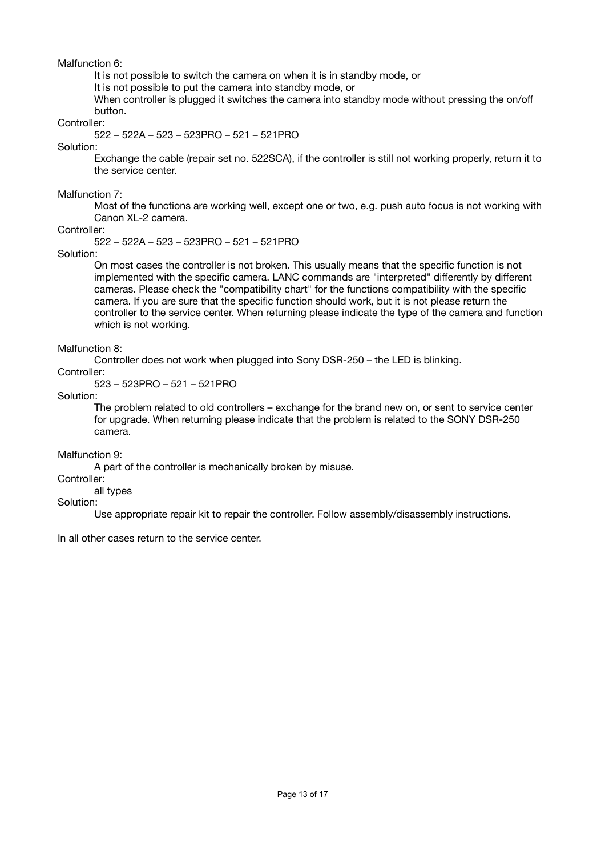Malfunction 6:

It is not possible to switch the camera on when it is in standby mode, or

It is not possible to put the camera into standby mode, or

When controller is plugged it switches the camera into standby mode without pressing the on/off button.

Controller:

522 – 522A – 523 – 523PRO – 521 – 521PRO

Solution:

Exchange the cable (repair set no. 522SCA), if the controller is still not working properly, return it to the service center.

Malfunction 7:

Most of the functions are working well, except one or two, e.g. push auto focus is not working with Canon XL-2 camera.

Controller:

522 – 522A – 523 – 523PRO – 521 – 521PRO

Solution:

On most cases the controller is not broken. This usually means that the specific function is not implemented with the specific camera. LANC commands are "interpreted" differently by different cameras. Please check the "compatibility chart" for the functions compatibility with the specific camera. If you are sure that the specific function should work, but it is not please return the controller to the service center. When returning please indicate the type of the camera and function which is not working.

Malfunction 8:

Controller does not work when plugged into Sony DSR-250 – the LED is blinking.

Controller:

523 – 523PRO – 521 – 521PRO

Solution:

The problem related to old controllers – exchange for the brand new on, or sent to service center for upgrade. When returning please indicate that the problem is related to the SONY DSR-250 camera.

Malfunction 9:

A part of the controller is mechanically broken by misuse.

Controller:

all types

Solution:

Use appropriate repair kit to repair the controller. Follow assembly/disassembly instructions.

In all other cases return to the service center.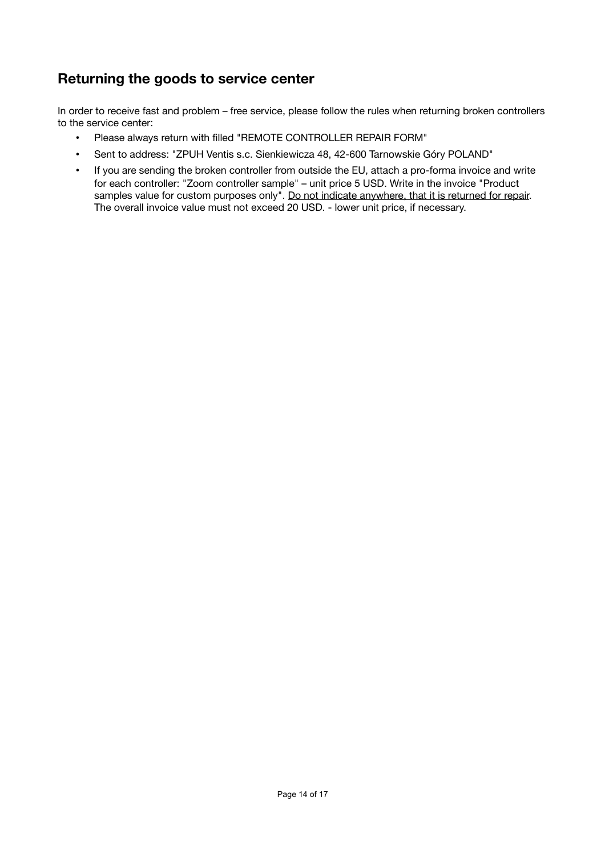# **Returning the goods to service center**

In order to receive fast and problem – free service, please follow the rules when returning broken controllers to the service center:

- Please always return with filled "REMOTE CONTROLLER REPAIR FORM"
- Sent to address: "ZPUH Ventis s.c. Sienkiewicza 48, 42-600 Tarnowskie Góry POLAND"
- If you are sending the broken controller from outside the EU, attach a pro-forma invoice and write for each controller: "Zoom controller sample" – unit price 5 USD. Write in the invoice "Product samples value for custom purposes only". Do not indicate anywhere, that it is returned for repair. The overall invoice value must not exceed 20 USD. - lower unit price, if necessary.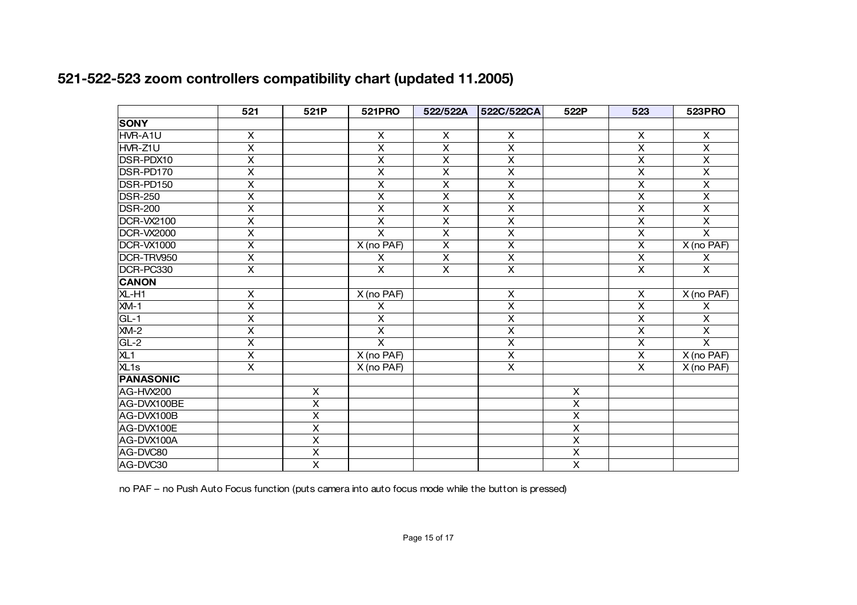|                   | 521                     | 521P                    | 521PRO                  | 522/522A                  | 522C/522CA              | 522P                    | 523                     | <b>523PRO</b>           |
|-------------------|-------------------------|-------------------------|-------------------------|---------------------------|-------------------------|-------------------------|-------------------------|-------------------------|
| <b>SONY</b>       |                         |                         |                         |                           |                         |                         |                         |                         |
| HVR-A1U           | X                       |                         | X                       | X                         | X                       |                         | X                       | $\mathsf{X}$            |
| HVR-Z1U           | $\overline{\mathsf{x}}$ |                         | $\overline{\mathsf{x}}$ | $\overline{\mathsf{x}}$   | $\overline{\mathsf{x}}$ |                         | $\overline{\mathsf{x}}$ | $\overline{\mathsf{x}}$ |
| DSR-PDX10         | $\overline{\mathsf{x}}$ |                         | $\overline{\mathsf{x}}$ | X                         | X                       |                         | $\overline{\mathsf{x}}$ | $\mathsf{X}$            |
| DSR-PD170         | $\overline{\mathsf{x}}$ |                         | $\overline{\mathsf{x}}$ | $\overline{\mathsf{x}}$   | $\overline{\mathsf{x}}$ |                         | $\overline{\mathsf{x}}$ | $\overline{\mathsf{x}}$ |
| DSR-PD150         | $\overline{\mathsf{x}}$ |                         | $\overline{\mathsf{x}}$ | $\overline{\mathsf{x}}$   | $\overline{\mathsf{x}}$ |                         | $\overline{\mathsf{x}}$ | $\overline{X}$          |
| <b>DSR-250</b>    | $\overline{\mathsf{x}}$ |                         | $\overline{\mathsf{x}}$ | $\overline{\mathsf{x}}$   | $\overline{\mathsf{x}}$ |                         | $\overline{\mathsf{x}}$ | $\overline{\mathsf{x}}$ |
| <b>DSR-200</b>    | $\overline{\mathsf{x}}$ |                         | $\overline{\mathsf{x}}$ | $\overline{\mathsf{x}}$   | $\overline{\mathsf{x}}$ |                         | $\overline{\mathsf{x}}$ | $\overline{\mathsf{x}}$ |
| DCR-VX2100        | $\overline{\mathsf{x}}$ |                         | $\overline{\mathsf{x}}$ | $\overline{\mathsf{x}}$   | $\overline{\mathsf{x}}$ |                         | $\overline{\mathsf{x}}$ | $\overline{\mathsf{x}}$ |
| <b>DCR-VX2000</b> | X                       |                         | $\overline{\mathsf{x}}$ | $\overline{\mathsf{x}}$   | X                       |                         | $\overline{\mathsf{x}}$ | $\overline{\mathsf{x}}$ |
| <b>DCR-VX1000</b> | $\overline{\mathsf{x}}$ |                         | X (no PAF)              | $\overline{\mathsf{x}}$   | $\overline{\mathsf{x}}$ |                         | $\overline{\mathsf{x}}$ | $X$ (no PAF)            |
| DCR-TRV950        | X                       |                         | X                       | $\boldsymbol{\mathsf{X}}$ | X                       |                         | X                       | X                       |
| DCR-PC330         | $\overline{\mathsf{x}}$ |                         | $\overline{\mathsf{x}}$ | $\overline{\mathsf{x}}$   | $\overline{\mathsf{x}}$ |                         | $\overline{\mathsf{x}}$ | $\overline{\mathsf{x}}$ |
| <b>CANON</b>      |                         |                         |                         |                           |                         |                         |                         |                         |
| XL-H1             | $\overline{\mathsf{x}}$ |                         | X (no PAF)              |                           | X                       |                         | $\overline{\mathsf{x}}$ | X (no PAF)              |
| $XM-1$            | $\overline{\mathsf{x}}$ |                         | $\pmb{\times}$          |                           | $\overline{\mathsf{x}}$ |                         | $\overline{\mathsf{x}}$ | X                       |
| $GL-1$            | $\overline{\mathsf{x}}$ |                         | $\overline{\mathsf{x}}$ |                           | $\overline{\mathsf{x}}$ |                         | $\overline{\mathsf{x}}$ | $\overline{\mathsf{x}}$ |
| $XM-2$            | $\overline{\mathsf{x}}$ |                         | $\overline{\mathsf{x}}$ |                           | $\overline{\mathsf{x}}$ |                         | $\overline{\mathsf{x}}$ | $\overline{\mathsf{x}}$ |
| $GL-2$            | $\overline{\mathsf{x}}$ |                         | $\overline{\mathsf{x}}$ |                           | $\overline{\mathsf{x}}$ |                         | $\overline{\mathsf{x}}$ | $\overline{\mathsf{x}}$ |
| XL <sub>1</sub>   | $\overline{\mathsf{x}}$ |                         | X (no PAF)              |                           | $\overline{\mathsf{x}}$ |                         | $\overline{\mathsf{x}}$ | X (no PAF)              |
| XL <sub>1s</sub>  | $\overline{\mathsf{x}}$ |                         | X (no PAF)              |                           | $\overline{\mathsf{x}}$ |                         | $\overline{\mathsf{x}}$ | X (no PAF)              |
| <b>PANASONIC</b>  |                         |                         |                         |                           |                         |                         |                         |                         |
| AG-HVX200         |                         | $\overline{\mathsf{x}}$ |                         |                           |                         | X                       |                         |                         |
| AG-DVX100BE       |                         | $\overline{\mathsf{x}}$ |                         |                           |                         | $\overline{\mathsf{x}}$ |                         |                         |
| AG-DVX100B        |                         | $\pmb{\mathsf{X}}$      |                         |                           |                         | X                       |                         |                         |
| AG-DVX100E        |                         | $\overline{\mathsf{x}}$ |                         |                           |                         | $\overline{\mathsf{x}}$ |                         |                         |
| AG-DVX100A        |                         | $\pmb{\mathsf{X}}$      |                         |                           |                         | $\pmb{\times}$          |                         |                         |
| AG-DVC80          |                         | $\overline{\mathsf{x}}$ |                         |                           |                         | $\overline{\mathsf{x}}$ |                         |                         |
| AG-DVC30          |                         | $\overline{X}$          |                         |                           |                         | $\overline{\mathsf{x}}$ |                         |                         |

# **521-522-523 zoom controllers compatibility chart (updated 11.2005)**

no PAF – no Push Auto Focus function (puts camera into auto focus mode while the button is pressed)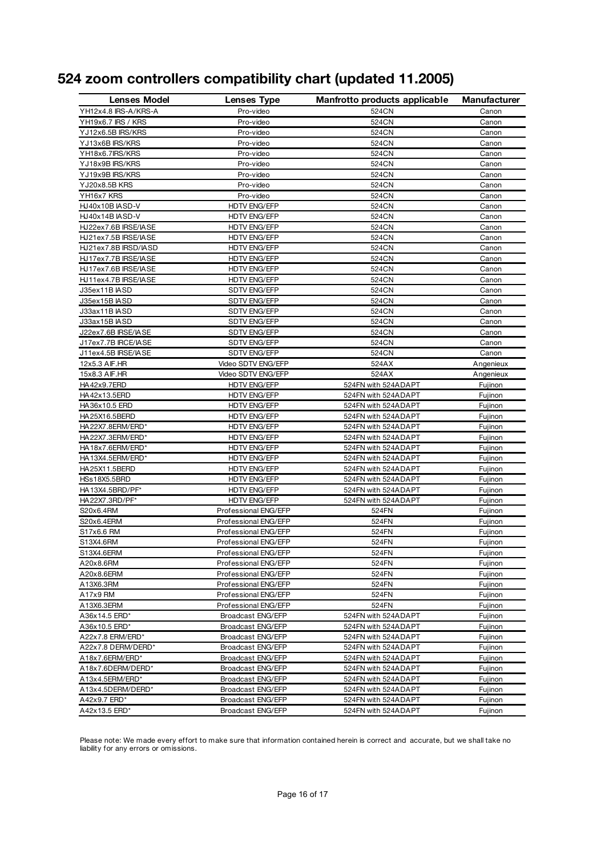|  |  | 524 zoom controllers compatibility chart (updated 11.2005) |  |  |  |
|--|--|------------------------------------------------------------|--|--|--|
|--|--|------------------------------------------------------------|--|--|--|

| <b>Lenses Model</b>  | Lenses Type          | Manfrotto products applicable | <b>Manufacturer</b> |
|----------------------|----------------------|-------------------------------|---------------------|
| YH12x4.8 IRS-A/KRS-A | Pro-video            | 524CN                         | Canon               |
| YH19x6.7 IRS / KRS   | Pro-video            | 524CN                         | Canon               |
| YJ12x6.5B IRS/KRS    | Pro-video            | 524CN                         | Canon               |
| YJ13x6B IRS/KRS      | Pro-video            | 524CN                         | Canon               |
| YH18x6.7IRS/KRS      | Pro-video            | 524CN                         | Canon               |
| YJ18x9B IRS/KRS      | Pro-video            | 524CN                         | Canon               |
| YJ19x9B IRS/KRS      | Pro-video            | 524CN                         | Canon               |
| YJ20x8.5B KRS        | Pro-video            | 524CN                         | Canon               |
| YH16x7 KRS           | Pro-video            | 524CN                         | Canon               |
| HJ40x10B IASD-V      | <b>HDTV ENG/EFP</b>  | 524CN                         | Canon               |
| HJ40x14B IASD-V      | HDTV ENG/EFP         | 524CN                         | Canon               |
| HJ22ex7.6B IRSE/IASE | HDTV ENG/EFP         | 524CN                         | Canon               |
| HJ21ex7.5B IRSE/IASE | HDTV ENG/EFP         | 524CN                         | Canon               |
| HJ21ex7.8B IRSD/IASD | <b>HDTV ENG/EFP</b>  | 524CN                         | Canon               |
| HJ17ex7.7B IRSE/IASE | HDTV ENG/EFP         | 524CN                         | Canon               |
| HJ17ex7.6B IRSE/IASE | HDTV ENG/EFP         | 524CN                         | Canon               |
| HJ11ex4.7B IRSE/IASE | <b>HDTV ENG/EFP</b>  | 524CN                         | Canon               |
| J35ex11B IASD        | SDTV ENG/EFP         | 524CN                         | Canon               |
| J35ex15B IASD        | SDTV ENG/EFP         | 524CN                         | Canon               |
| J33ax11B IASD        | <b>SDTV ENG/EFP</b>  | 524CN                         | Canon               |
| J33ax15B IASD        | <b>SDTV ENG/EFP</b>  | 524CN                         | Canon               |
| J22ex7.6B IRSE/IASE  | <b>SDTV ENG/EFP</b>  | 524CN                         | Canon               |
| J17ex7.7B IRCE/IASE  | <b>SDTV ENG/EFP</b>  | 524CN                         | Canon               |
| J11ex4.5B IRSE/IASE  | <b>SDTV ENG/EFP</b>  | 524CN                         | Canon               |
| 12x5.3 AIF.HR        | Video SDTV ENG/EFP   | 524AX                         | Angenieux           |
| 15x8.3 AIF.HR        | Video SDTV ENG/EFP   | 524AX                         | Angenieux           |
| HA42x9.7ERD          | <b>HDTV ENG/EFP</b>  | 524FN with 524ADAPT           | Fujinon             |
| HA42x13.5ERD         | <b>HDTV ENG/EFP</b>  | 524FN with 524ADAPT           | Fujinon             |
| HA36x10.5 ERD        | HDTV ENG/EFP         | 524FN with 524ADAPT           | Fujinon             |
| HA25X16.5BERD        | <b>HDTV ENG/EFP</b>  | 524FN with 524ADAPT           | Fujinon             |
| HA22X7.8ERM/ERD*     | <b>HDTV ENG/EFP</b>  | 524FN with 524ADAPT           | Fujinon             |
| HA22X7.3ERM/ERD*     | HDTV ENG/EFP         | 524FN with 524ADAPT           | Fujinon             |
| HA18x7.6ERM/ERD*     | HDTV ENG/EFP         | 524FN with 524ADAPT           | Fujinon             |
| HA13X4.5ERM/ERD*     | HDTV ENG/EFP         | 524FN with 524ADAPT           | Fujinon             |
| HA25X11.5BERD        | HDTV ENG/EFP         | 524FN with 524ADAPT           | Fujinon             |
| HSs18X5.5BRD         | <b>HDTV ENG/EFP</b>  | 524FN with 524ADAPT           | Fujinon             |
| HA13X4.5BRD/PF*      | <b>HDTV ENG/EFP</b>  | 524FN with 524ADAPT           | Fujinon             |
| HA22X7.3RD/PF*       | <b>HDTV ENG/EFP</b>  | 524FN with 524ADAPT           | Fujinon             |
| S20x6.4RM            | Professional ENG/EFP | 524FN                         | Fujinon             |
| S20x6.4ERM           | Professional ENG/EFP | 524FN                         | Fujinon             |
| S17x6.6 RM           | Professional ENG/EFP | 524FN                         | Fujinon             |
| S13X4.6RM            | Professional ENG/EFP | 524FN                         | Fujinon             |
| S13X4.6ERM           | Professional ENG/EFP | 524FN                         | Fujinon             |
| A20x8.6RM            | Professional ENG/EFP | 524FN                         | Fujinon             |
| A20x8.6ERM           | Professional ENG/EFP | 524FN                         | Fujinon             |
| A13X6.3RM            | Professional ENG/EFP | 524FN                         | Fujinon             |
| A17x9 RM             | Professional ENG/EFP | 524FN                         | Fujinon             |
| A13X6.3ERM           | Professional ENG/EFP | 524FN                         | Fujinon             |
| A36x14.5 ERD*        | Broadcast ENG/EFP    | 524FN with 524ADAPT           | Fujinon             |
| A36x10.5 ERD*        | Broadcast ENG/EFP    | 524FN with 524ADAPT           | Fujinon             |
| A22x7.8 ERM/ERD*     | Broadcast ENG/EFP    | 524FN with 524ADAPT           | Fujinon             |
|                      |                      |                               |                     |
| A22x7.8 DERM/DERD*   | Broadcast ENG/EFP    | 524FN with 524ADAPT           | Fujinon             |
| A18x7.6ERM/ERD*      | Broadcast ENG/EFP    | 524FN with 524ADAPT           | Fujinon             |
| A18x7.6DERM/DERD*    | Broadcast ENG/EFP    | 524FN with 524ADAPT           | Fujinon             |
| A13x4.5ERM/ERD*      | Broadcast ENG/EFP    | 524FN with 524ADAPT           | Fujinon             |
| A13x4.5DERM/DERD*    | Broadcast ENG/EFP    | 524FN with 524ADAPT           | Fujinon             |
| A42x9.7 ERD*         | Broadcast ENG/EFP    | 524FN with 524ADAPT           | Fujinon             |
| A42x13.5 ERD*        | Broadcast ENG/EFP    | 524FN with 524ADAPT           | Fujinon             |

Please note: We made every effort to make sure that information contained herein is correct and accurate, but we shall take no liability for any errors or omissions.